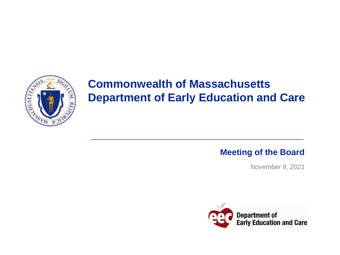

# **Commonwealth of Massachusetts Department of Early Education and Care**

### **Meeting of the Board**

*November 9, 2021*

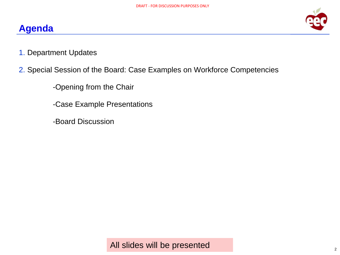### **Agenda**



1. Department Updates

### 2. Special Session of the Board: Case Examples on Workforce Competencies

-Opening from the Chair

-Case Example Presentations

-Board Discussion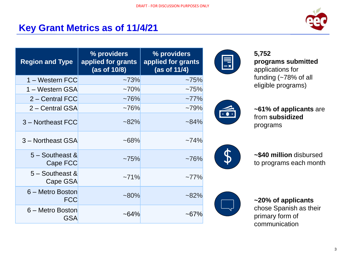## **Key Grant Metrics as of 11/4/21**



| <b>Region and Type</b>               | % providers<br>applied for grants<br>(as of 10/8) | % providers<br>applied for grants<br>(as of 11/4) |
|--------------------------------------|---------------------------------------------------|---------------------------------------------------|
| 1 – Western FCC                      | ~173%                                             | $~1.75\%$                                         |
| 1 – Western GSA                      | $~10\%$                                           | ~175%                                             |
| 2 – Central FCC                      | $~176\%$                                          | $~177\%$                                          |
| 2 – Central GSA                      | $~1.76\%$                                         | ~179%                                             |
| 3 - Northeast FCC                    | $~282\%$                                          | $~184\%$                                          |
| 3 - Northeast GSA                    | $~168\%$                                          | $~174\%$                                          |
| $5 -$ Southeast &<br><b>Cape FCC</b> | $~1.75\%$                                         | $~1.76\%$                                         |
| $5 -$ Southeast &<br>Cape GSA        | ~271%                                             | $~177\%$                                          |
| 6 – Metro Boston<br><b>FCC</b>       | $~180\%$                                          | $~282\%$                                          |
| 6 – Metro Boston<br>GSA              | $~164\%$                                          | $~167\%$                                          |



**5,752 programs submitted**  applications for funding (~78% of all eligible programs)



**~61% of applicants** are from **subsidized**  programs



**~\$40 million** disbursed to programs each month



**~20% of applicants**  chose Spanish as their primary form of communication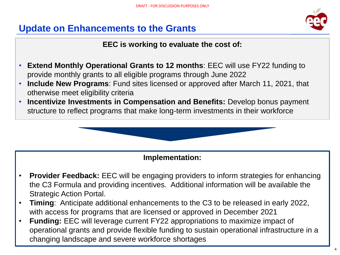

### **Update on Enhancements to the Grants**

### **EEC is working to evaluate the cost of:**

- **Extend Monthly Operational Grants to 12 months**: EEC will use FY22 funding to provide monthly grants to all eligible programs through June 2022
- **Include New Programs**: Fund sites licensed or approved after March 11, 2021, that otherwise meet eligibility criteria
- **Incentivize Investments in Compensation and Benefits:** Develop bonus payment structure to reflect programs that make long-term investments in their workforce



### **Implementation:**

- **Provider Feedback:** EEC will be engaging providers to inform strategies for enhancing the C3 Formula and providing incentives. Additional information will be available the Strategic Action Portal.
- **Timing**: Anticipate additional enhancements to the C3 to be released in early 2022, with access for programs that are licensed or approved in December 2021
- **Funding:** EEC will leverage current FY22 appropriations to maximize impact of operational grants and provide flexible funding to sustain operational infrastructure in a changing landscape and severe workforce shortages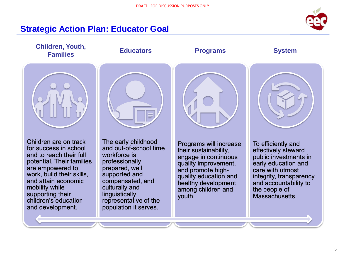

### **Strategic Action Plan: Educator Goal**

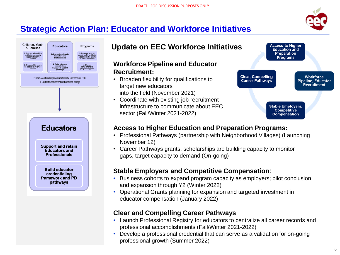

**Workforce** 

**Pipeline, Educator** 

**Recruitment** 

**Access to Higher** 

**Education and** 

**Preparation** 

**Programs** 

**Stable Employers, Competitive Compensation** 

**Clear, Compelling** 

**Career Pathways** 

## **Strategic Action Plan: Educator and Workforce Initiatives**



### **Update on EEC Workforce Initiatives**

#### **Workforce Pipeline and Educator Recruitment:**

- Broaden flexibility for qualifications to target new educators into the field (November 2021)
- Coordinate with existing job recruitment infrastructure to communicate about EEC sector (Fall/Winter 2021-2022)

#### **Access to Higher Education and Preparation Programs:**

- Professional Pathways (partnership with Neighborhood Villages) (Launching November 12)
- Career Pathways grants, scholarships are building capacity to monitor gaps, target capacity to demand (On-going)

#### **Stable Employers and Competitive Compensation**:

- Business cohorts to expand program capacity as employers; pilot conclusion and expansion through Y2 (Winter 2022)
- Operational Grants planning for expansion and targeted investment in educator compensation (January 2022)

#### **Clear and Compelling Career Pathways**:

- Launch Professional Registry for educators to centralize all career records and professional accomplishments (Fall/Winter 2021-2022)
- Develop a professional credential that can serve as a validation for on-going professional growth (Summer 2022)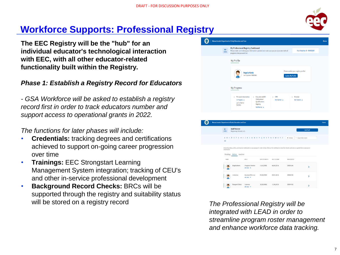

## **Workforce Supports: Professional Registry**

**The EEC Registry will be the "hub" for an individual educator's technological interaction with EEC, with all other educator-related functionality built within the Registry.**

#### *Phase 1: Establish a Registry Record for Educators*

*- GSA Workforce will be asked to establish a registry record first in order to track educators number and support access to operational grants in 2022.*

*The functions for later phases will include:*

- **Credentials:** tracking degrees and certifications achieved to support on-going career progression over time
- **Trainings:** EEC Strongstart Learning Management System integration; tracking of CEU's and other in-service professional development
- **Background Record Checks:** BRCs will be supported through the registry and suitability status will be stored on a registry record





*The Professional Registry will be integrated with LEAD in order to streamline program roster management and enhance workforce data tracking.*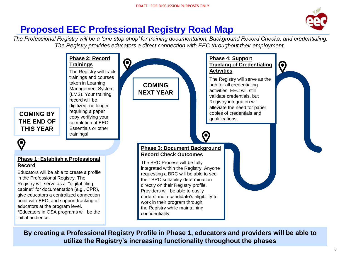

## **Proposed EEC Professional Registry Road Map**

Q

*The Professional Registry will be a 'one stop shop' for training documentation, Background Record Checks, and credentialing. The Registry provides educators a direct connection with EEC throughout their employment.*



**By creating a Professional Registry Profile in Phase 1, educators and providers will be able to utilize the Registry's increasing functionality throughout the phases**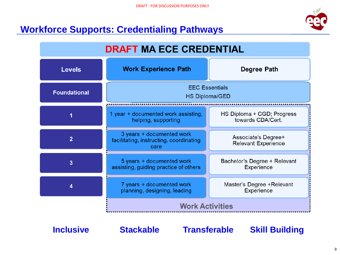## **Workforce Supports: Credentialing Pathways**



| <b>DRAFT MA ECE CREDENTIAL</b> |                                                                              |                                                   |  |
|--------------------------------|------------------------------------------------------------------------------|---------------------------------------------------|--|
| <b>Levels</b>                  | <b>Work Experience Path</b>                                                  | <b>Degree Path</b>                                |  |
| <b>Foundational</b>            | <b>EEC Essentials</b><br><b>HS Diploma/GED</b>                               |                                                   |  |
|                                | 1 year + documented work assisting,<br>helping, supporting                   | HS Diploma + CGD; Progress<br>towards CDA/Cert.   |  |
| $\overline{2}$                 | 3 years + documented work<br>facilitating, instructing, coordinating<br>care | Associate's Degree+<br><b>Relevant Experience</b> |  |
| 3                              | 5 years + documented work<br>assisting, guiding practice of others           | Bachelor's Degree + Relevant<br>Experience        |  |
| 4                              | 7 years + documented work<br>planning, designing, leading                    | Master's Degree + Relevant<br>Experience          |  |
|                                | <b>Work Activities</b>                                                       |                                                   |  |

**Inclusive Stackable Transferable Skill Building**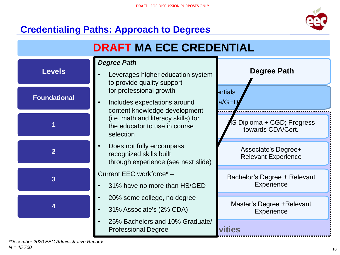## **Credentialing Paths: Approach to Degrees**



| <b>DRAFT MA ECE CREDENTIAL</b> |                                                                                            |                                                   |  |  |
|--------------------------------|--------------------------------------------------------------------------------------------|---------------------------------------------------|--|--|
| <b>Levels</b>                  | <b>Degree Path</b><br>Leverages higher education system<br>to provide quality support      | <b>Degree Path</b>                                |  |  |
| <b>Foundational</b>            | for professional growth<br>Includes expectations around<br>content knowledge development   | entials<br>a/GED                                  |  |  |
|                                | (i.e. math and literacy skills) for<br>the educator to use in course<br>selection          | S Diploma + CGD; Progress<br>towards CDA/Cert.    |  |  |
| $\overline{2}$                 | Does not fully encompass<br>recognized skills built<br>through experience (see next slide) | Associate's Degree+<br><b>Relevant Experience</b> |  |  |
| 3                              | Current EEC workforce*-<br>31% have no more than HS/GED                                    | Bachelor's Degree + Relevant<br><b>Experience</b> |  |  |
|                                | 20% some college, no degree<br>31% Associate's (2% CDA)                                    | Master's Degree + Relevant<br>Experience          |  |  |
|                                | 25% Bachelors and 10% Graduate/<br><b>Professional Degree</b>                              | vities                                            |  |  |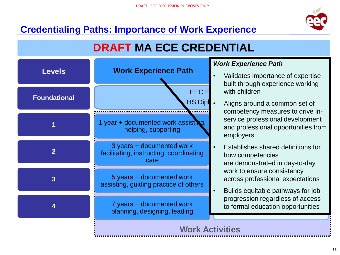

## **Credentialing Paths: Importance of Work Experience**

# **DRAFT MA ECE CREDENTIAL**



### *Work Experience Path*

- **Degree Path** • Validates importance of expertise built through experience working with children
	- service professional development and professional opportunities from • Aligns around a common set of competency measures to drive inemployers
- Establishes shared definitions for how competencies across professional expectations Experience are demonstrated in day-to-day work to ensure consistency
- og<br>formal education opportuniti  $\frac{1}{2}$ • Builds equitable pathways for job progression regardless of access to formal education opportunities

### **Work Activities**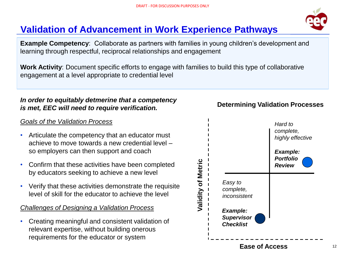## **Validation of Advancement in Work Experience Pathways**

**Example Competency**: Collaborate as partners with families in young children's development and learning through respectful, reciprocal relationships and engagement

**Work Activity**: Document specific efforts to engage with families to build this type of collaborative engagement at a level appropriate to credential level

#### *In order to equitably detmerine that a competency is met, EEC will need to require verification.*

#### *Goals of the Validation Process*

- Articulate the competency that an educator must achieve to move towards a new credential level – so employers can then support and coach
- Confirm that these activities have been completed by educators seeking to achieve a new level
- Verify that these activities demonstrate the requisite level of skill for the educator to achieve the level

#### *Challenges of Designing a Validation Process*

• Creating meaningful and consistent validation of relevant expertise, without building onerous requirements for the educator or system



#### **Determining Validation Processes**